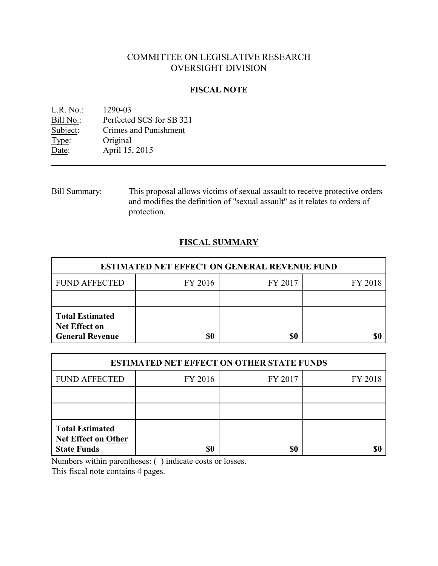# COMMITTEE ON LEGISLATIVE RESEARCH OVERSIGHT DIVISION

## **FISCAL NOTE**

| L.R. No.: | 1290-03                  |
|-----------|--------------------------|
| Bill No.: | Perfected SCS for SB 321 |
| Subject:  | Crimes and Punishment    |
| Type:     | Original                 |
| Date:     | April 15, 2015           |

Bill Summary: This proposal allows victims of sexual assault to receive protective orders and modifies the definition of "sexual assault" as it relates to orders of protection.

## **FISCAL SUMMARY**

| <b>ESTIMATED NET EFFECT ON GENERAL REVENUE FUND</b>                      |         |         |         |  |
|--------------------------------------------------------------------------|---------|---------|---------|--|
| <b>FUND AFFECTED</b>                                                     | FY 2016 | FY 2017 | FY 2018 |  |
|                                                                          |         |         |         |  |
| <b>Total Estimated</b><br><b>Net Effect on</b><br><b>General Revenue</b> | \$0     | \$0     |         |  |

| <b>ESTIMATED NET EFFECT ON OTHER STATE FUNDS</b>                           |         |         |         |  |
|----------------------------------------------------------------------------|---------|---------|---------|--|
| <b>FUND AFFECTED</b>                                                       | FY 2016 | FY 2017 | FY 2018 |  |
|                                                                            |         |         |         |  |
|                                                                            |         |         |         |  |
| <b>Total Estimated</b><br><b>Net Effect on Other</b><br><b>State Funds</b> | \$0     | \$0     |         |  |

Numbers within parentheses: ( ) indicate costs or losses.

This fiscal note contains 4 pages.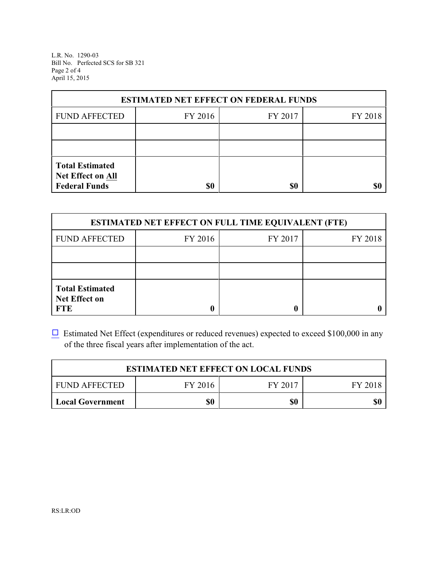L.R. No. 1290-03 Bill No. Perfected SCS for SB 321 Page 2 of 4 April 15, 2015

| <b>ESTIMATED NET EFFECT ON FEDERAL FUNDS</b>                        |         |         |         |  |
|---------------------------------------------------------------------|---------|---------|---------|--|
| <b>FUND AFFECTED</b>                                                | FY 2016 | FY 2017 | FY 2018 |  |
|                                                                     |         |         |         |  |
|                                                                     |         |         |         |  |
| <b>Total Estimated</b><br>Net Effect on All<br><b>Federal Funds</b> | \$0     | \$0     |         |  |

| <b>ESTIMATED NET EFFECT ON FULL TIME EQUIVALENT (FTE)</b>    |         |         |         |  |
|--------------------------------------------------------------|---------|---------|---------|--|
| <b>FUND AFFECTED</b>                                         | FY 2016 | FY 2017 | FY 2018 |  |
|                                                              |         |         |         |  |
|                                                              |         |         |         |  |
| <b>Total Estimated</b><br><b>Net Effect on</b><br><b>FTE</b> |         |         |         |  |

 $\Box$  Estimated Net Effect (expenditures or reduced revenues) expected to exceed \$100,000 in any of the three fiscal years after implementation of the act.

| <b>ESTIMATED NET EFFECT ON LOCAL FUNDS</b> |         |         |         |
|--------------------------------------------|---------|---------|---------|
| <b>FUND AFFECTED</b>                       | FY 2016 | FY 2017 | FY 2018 |
| <b>Local Government</b>                    | \$0     | \$0     | \$0     |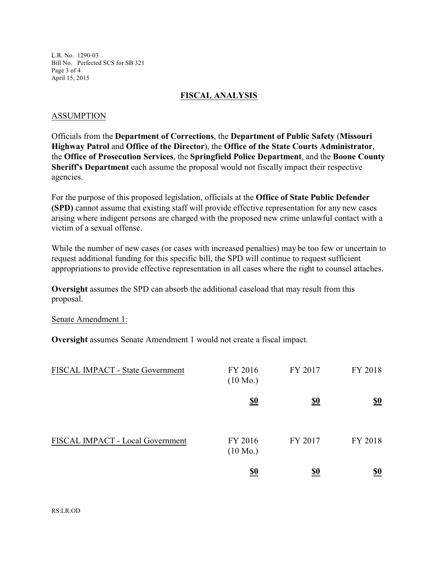L.R. No. 1290-03 Bill No. Perfected SCS for SB 321 Page 3 of 4 April 15, 2015

#### **FISCAL ANALYSIS**

#### ASSUMPTION

Officials from the **Department of Corrections**, the **Department of Public Safety** (**Missouri Highway Patrol** and **Office of the Director**), the **Office of the State Courts Administrator**, the **Office of Prosecution Services**, the **Springfield Police Department**, and the **Boone County Sheriff's Department** each assume the proposal would not fiscally impact their respective agencies.

For the purpose of this proposed legislation, officials at the **Office of State Public Defender (SPD)** cannot assume that existing staff will provide effective representation for any new cases arising where indigent persons are charged with the proposed new crime unlawful contact with a victim of a sexual offense.

While the number of new cases (or cases with increased penalties) may be too few or uncertain to request additional funding for this specific bill, the SPD will continue to request sufficient appropriations to provide effective representation in all cases where the right to counsel attaches.

**Oversight** assumes the SPD can absorb the additional caseload that may result from this proposal.

Senate Amendment 1:

**Oversight** assumes Senate Amendment 1 would not create a fiscal impact.

| FISCAL IMPACT - State Government | FY 2016<br>$(10 \text{ Mo.})$ | FY 2017    | FY 2018                       |
|----------------------------------|-------------------------------|------------|-------------------------------|
|                                  | $\underline{\underline{\$0}}$ | <u>\$0</u> | $\underline{\underline{\$0}}$ |
| FISCAL IMPACT - Local Government | FY 2016<br>$(10 \text{ Mo.})$ | FY 2017    | FY 2018                       |
|                                  | <u>\$0</u>                    | <u>\$0</u> | <u>\$0</u>                    |